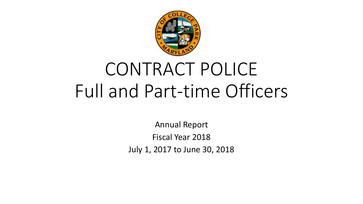

# CONTRACT POLICE Full and Part-time Officers

Annual Report Fiscal Year 2018 July 1, 2017 to June 30, 2018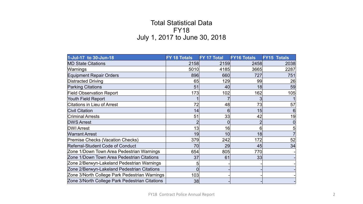## Total Statistical Data FY18 July 1, 2017 to June 30, 2018

| 1-Jul-17 to 30-Jun-18                          | FY 18 Totals | FY 17 Total | <b>FY16 Totals</b> | <b>FY15 Totals</b> |
|------------------------------------------------|--------------|-------------|--------------------|--------------------|
| <b>MD State Citations</b>                      | 2158         | 2159        | 2458               | 2038               |
| Warnings                                       | 5010         | 4185        | 3665               | 2287               |
| <b>Equipment Repair Orders</b>                 | 896          | 660         | 727                | 751                |
| <b>Distracted Driving</b>                      | 65           | 129         | 99                 | 26                 |
| <b>Parking Citations</b>                       | 51           | 40          | 18                 | 59                 |
| <b>Field Observation Report</b>                | 173          | 102         | 162                | 105                |
| Youth Field Report                             |              |             |                    |                    |
| <b>Citations in Lieu of Arrest</b>             | 72           | 48          | 73                 | 57                 |
| <b>Civil Citation</b>                          | 14           | 6           | 15                 |                    |
| <b>Criminal Arrests</b>                        | 51           | 33          | 42                 | 19                 |
| <b>DWS Arrest</b>                              |              |             |                    |                    |
| <b>DWI Arrest</b>                              | 13           | 16          |                    |                    |
| <b>Warrant Arrest</b>                          | 19           | 10          | 18                 |                    |
| <b>Premise Checks (Vacation Checks)</b>        | 379          | 242         | 172                | 52                 |
| <b>Referral-Student Code of Conduct</b>        | 70           | 29          | 45                 | 34                 |
| Zone 1/Down Town Area Pedestrian Warnings      | 654          | 805         | 770                |                    |
| Zone 1/Down Town Area Pedestrian Citations     | 37           | 61          | 33                 |                    |
| Zone 2/Berwyn-Lakeland Pedestrian Warnings     |              |             |                    |                    |
| Zone 2/Berwyn-Lakeland Pedestrian Citations    |              |             |                    |                    |
| Zone 3/North College Park Pedestrian Warnings  | 103          |             |                    |                    |
| Zone 3/North College Park Pedestrian Citations | 38           |             |                    |                    |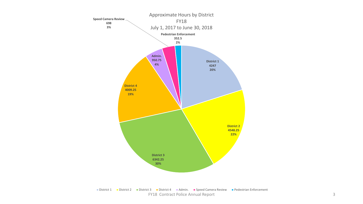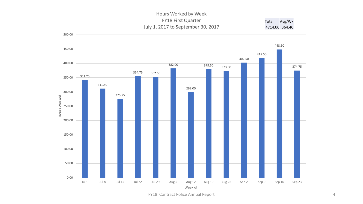#### Hours Worked by Week FY18 First Quarter July 1, 2017 to September 30, 2017 Total Avg/Wk 4714.00 364.40



FY18 Contract Police Annual Report 4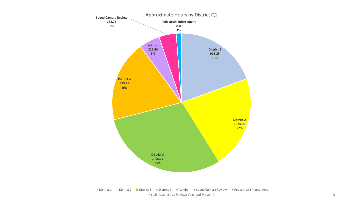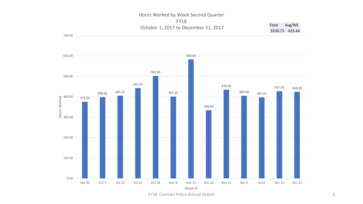#### 700.00 Hours Worked by Week Second Quarter FY18 October 1, 2017 to December 31, 2017 5530.75 425.44



FY18 Contract Police Annual Report 6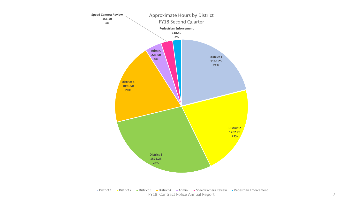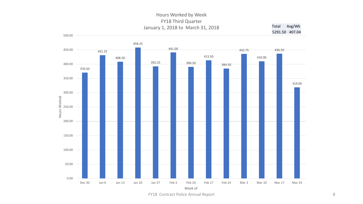### Hours Worked by Week FY18 Third Quarter January 1, 2018 to March 31, 2018 Total Avg/Wk

500.00

5291.50 407.04



FY18 Contract Police Annual Report 8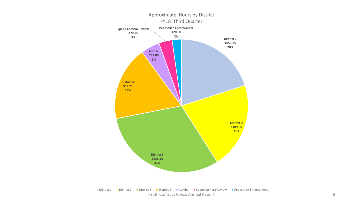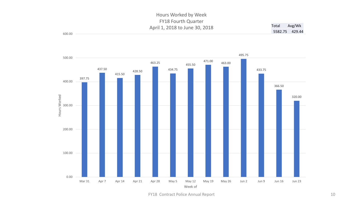#### 600.00 Hours Worked by Week FY18 Fourth Quarter April 1, 2018 to June 30, 2018 Total Avg/Wk 5582.75 429.44



FY18 Contract Police Annual Report 10 and 20 and 20 and 20 and 20 and 20 and 20 and 20 and 20 and 20 and 20 and 20 and 20 and 20 and 20 and 20 and 20 and 20 and 20 and 20 and 20 and 20 and 20 and 20 and 20 and 20 and 20 an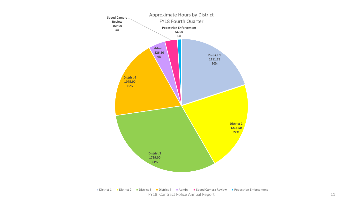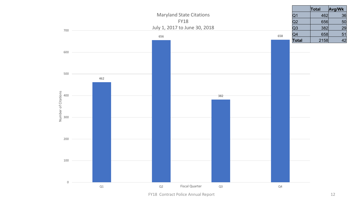

FY18 Contract Police Annual Report 12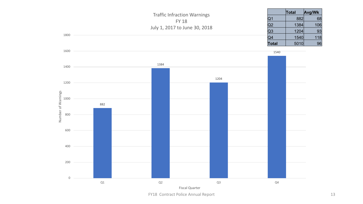

FY18 Contract Police Annual Report 13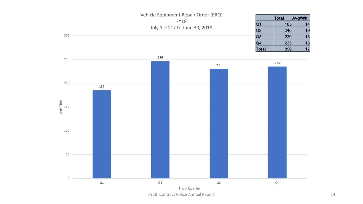



FY18 Contract Police Annual Report 14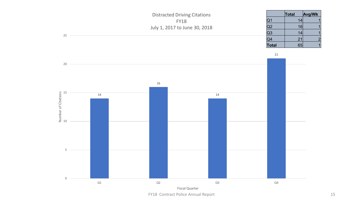



FY18 Contract Police Annual Report 15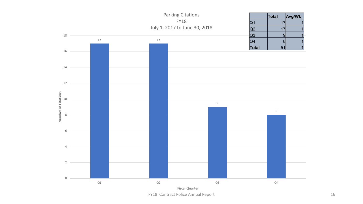

FY18 Contract Police Annual Report 16 and 16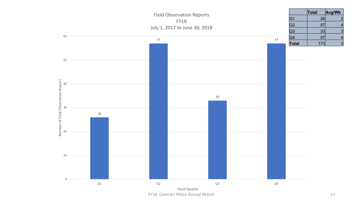

FY18 Contract Police Annual Report 17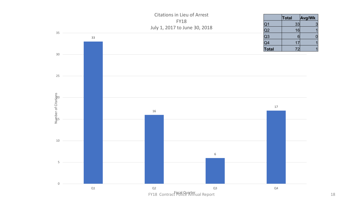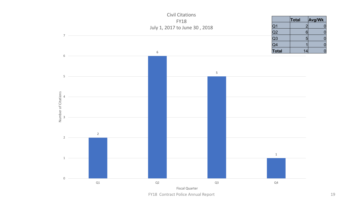

FY18 Contract Police Annual Report 19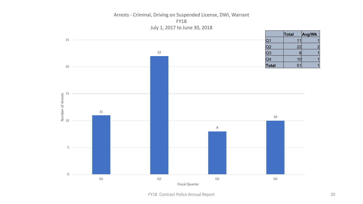Arrests - Criminal, Driving on Suspended License, DWI, Warrant FY18 July 1, 2017 to June 30, 2018

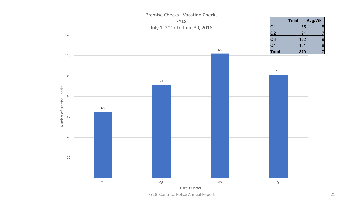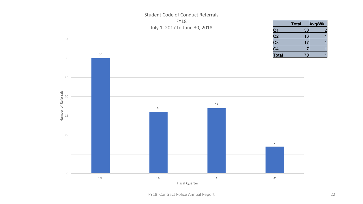

# Student Code of Conduct Referrals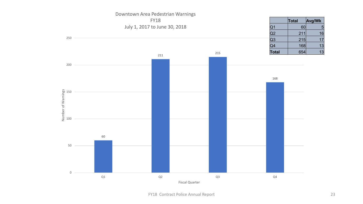